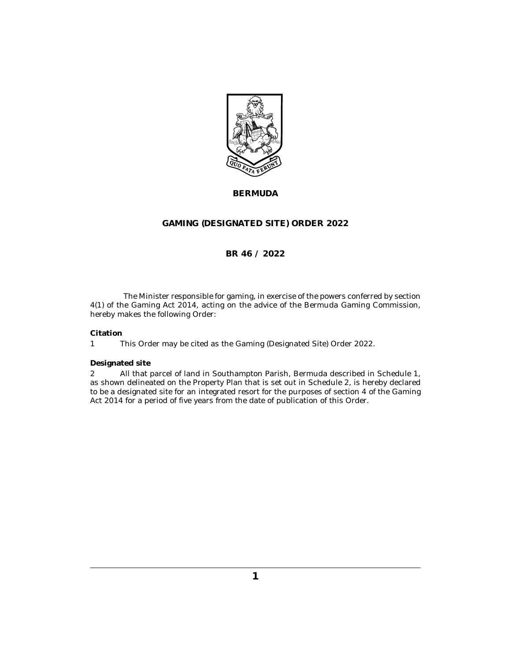

# **BERMUDA**

## **GAMING (DESIGNATED SITE) ORDER 2022**

## **BR 46 / 2022**

The Minister responsible for gaming, in exercise of the powers conferred by section 4(1) of the Gaming Act 2014, acting on the advice of the Bermuda Gaming Commission, hereby makes the following Order:

## **Citation**

This Order may be cited as the Gaming (Designated Site) Order 2022. 1

## **Designated site**

All that parcel of land in Southampton Parish, Bermuda described in Schedule 1, as shown delineated on the Property Plan that is set out in Schedule 2, is hereby declared to be a designated site for an integrated resort for the purposes of section 4 of the Gaming Act 2014 for a period of five years from the date of publication of this Order. 2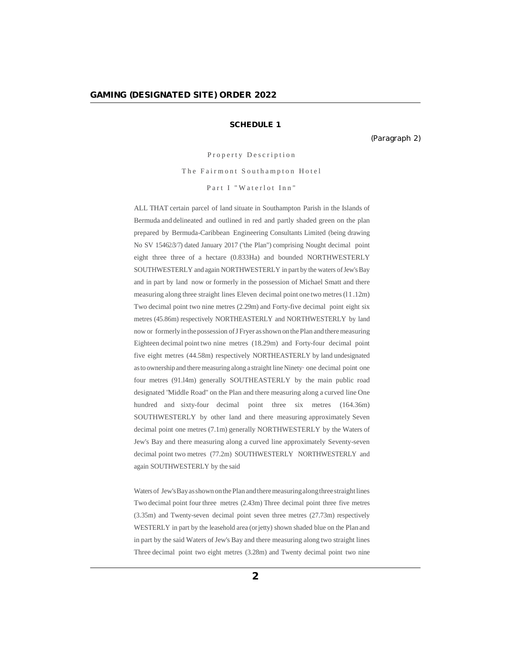## **SCHEDULE 1**

(Paragraph 2)

Property Description

The Fairmont Southampton Hotel

Part I "Waterlot Inn"

ALL THAT certain parcel of land situate in Southampton Parish in the Islands of Bermuda and delineated and outlined in red and partly shaded green on the plan prepared by Bermuda-Caribbean Engineering Consultants Limited (being drawing No SV 15462.8/7) dated January 2017 ("the Plan") comprising Nought decimal point eight three three of a hectare (0.833Ha) and bounded NORTHWESTERLY SOUTHWESTERLY and again NORTHWESTERLY in part by the waters of Jew's Bay and in part by land now or formerly in the possession of Michael Smatt and there measuring along three straight lines Eleven decimal point one two metres (l 1.12m) Two decimal point two nine metres (2.29m) and Forty-five decimal point eight six metres (45.86m) respectively NORTHEASTERLY and NORTHWESTERLY by land now or formerly in the possession of J Fryer as shown on the Plan and there measuring Eighteen decimal point two nine metres (18.29m) and Forty-four decimal point five eight metres (44.58m) respectively NORTHEASTERLY by land undesignated asto ownership and there measuring along astraight line Ninety· one decimal point one four metres (91.l4m) generally SOUTHEASTERLY by the main public road designated "Middle Road" on the Plan and there measuring along a curved line One hundred and sixty-four decimal point three six metres (164.36m) SOUTHWESTERLY by other land and there measuring approximately Seven decimal point one metres (7.1m) generally NORTHWESTERLY by the Waters of Jew's Bay and there measuring along a curved line approximately Seventy-seven decimal point two metres (77.2m) SOUTHWESTERLY NORTHWESTERLY and again SOUTHWESTERLY by the said

Waters of Jew's Bay as shown on the Plan and there measuring along three straight lines Two decimal point four three metres (2.43m) Three decimal point three five metres (3.35m) and Twenty-seven decimal point seven three metres (27.73m) respectively WESTERLY in part by the leasehold area (orjetty) shown shaded blue on the Plan and in part by the said Waters of Jew's Bay and there measuring along two straight lines Three decimal point two eight metres (3.28m) and Twenty decimal point two nine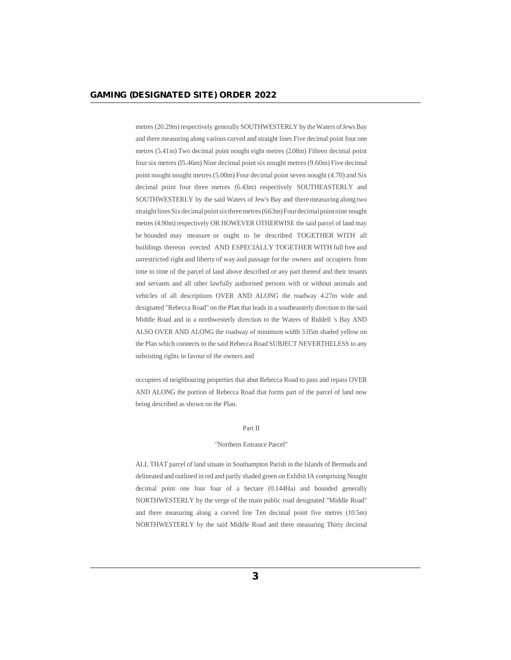metres (20.29m) respectively generally SOUTHWESTERLY by the Waters ofJews Bay and there measuring along various curved and straight lines Five decimal point four one metres (5.41m) Two decimal point nought eight metres (2.08m) Fifteen decimal point four six metres (l5.46m) Nine decimal point six nought metres (9.60m) Five decimal point nought nought metres (5.00m) Four decimal point seven nought (4.70) and Six decimal point four three metres (6.43m) respectively SOUTHEASTERLY and SOUTHWESTERLY by the said Waters of Jew's Bay and there measuring alongtwo straight lines Six decimal point six three metres (6.63m) Four decimal point nine nought metres (4.90m) respectively OR HOWEVER OTHERWISE the said parcel of land may be bounded may measure or ought to be described TOGETHER WITH all buildings thereon erected AND ESPECIALLY TOGETHER WITH full free and unrestricted right and liberty of way and passage for the owners and occupiers from time to time of the parcel of land above described or any part thereof and their tenants and servants and all other lawfully authorised persons with or without animals and vehicles of all descriptions OVER AND ALONG the roadway 4.27m wide and designated "Rebecca Road" on the Plan that leads in a southeasterly direction to the said Middle Road and in a northwesterly direction to the Waters of Riddell 's Bay AND ALSO OVER AND ALONG the roadway of minimum width 3.05m shaded yellow on the Plan which connects to the said Rebecca Road SUBJECT NEVERTHELESS to any subsisting rights in favour of the owners and

occupiers of neighbouring properties that abut Rebecca Road to pass and repass OVER AND ALONG the portion of Rebecca Road that forms part of the parcel of land now being described as shown on the Plan.

#### Part II

#### "Northern Entrance Parcel"

ALL THAT parcel of land situate in Southampton Parish in the Islands of Bermuda and delineated and outlined in red and partly shaded green on Exhibit IA comprising Nought decimal point one four four of a hectare (0.144Ha) and bounded generally NORTHWESTERLY by the verge of the main public road designated "Middle Road" and there measuring along a curved line Ten decimal point five metres (10.5m) NORTHWESTERLY by the said Middle Road and there measuring Thirty decimal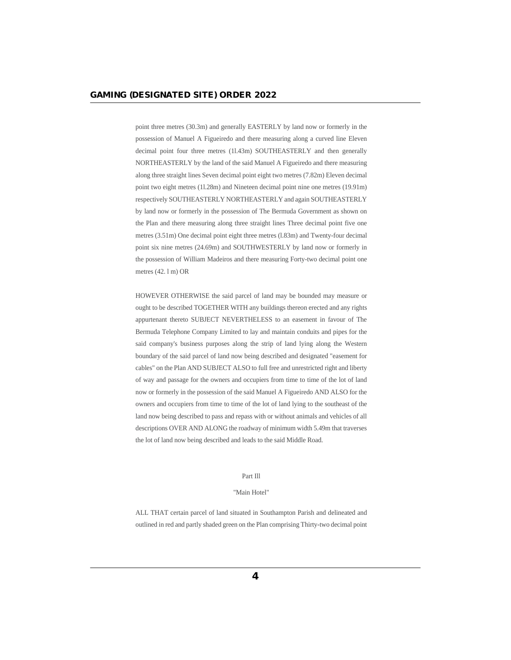point three metres (30.3m) and generally EASTERLY by land now or formerly in the possession of Manuel A Figueiredo and there measuring along a curved line Eleven decimal point four three metres (1l.43m) SOUTHEASTERLY and then generally NORTHEASTERLY by the land of the said Manuel A Figueiredo and there measuring along three straight lines Seven decimal point eight two metres (7.82m) Eleven decimal point two eight metres (1l.28m) and Nineteen decimal point nine one metres (19.91m) respectively SOUTHEASTERLY NORTHEASTERLY and again SOUTHEASTERLY by land now or formerly in the possession of The Bermuda Government as shown on the Plan and there measuring along three straight lines Three decimal point five one metres (3.51m) One decimal point eight three metres (l.83m) and Twenty-four decimal point six nine metres (24.69m) and SOUTHWESTERLY by land now or formerly in the possession of William Madeiros and there measuring Forty-two decimal point one metres (42. l m) OR

HOWEVER OTHERWISE the said parcel of land may be bounded may measure or ought to be described TOGETHER WITH any buildings thereon erected and any rights appurtenant thereto SUBJECT NEVERTHELESS to an easement in favour of The Bermuda Telephone Company Limited to lay and maintain conduits and pipes for the said company's business purposes along the strip of land lying along the Western boundary of the said parcel of land now being described and designated "easement for cables" on the Plan AND SUBJECT ALSO to full free and unrestricted right and liberty of way and passage for the owners and occupiers from time to time of the lot of land now or formerly in the possession of the said Manuel A Figueiredo AND ALSO for the owners and occupiers from time to time of the lot of land lying to the southeast of the land now being described to pass and repass with or without animals and vehicles of all descriptions OVER AND ALONG the roadway of minimum width 5.49m that traverses the lot of land now being described and leads to the said Middle Road.

#### Part Ill

#### "Main Hotel"

ALL THAT certain parcel of land situated in Southampton Parish and delineated and outlined in red and partly shaded green on the Plan comprising Thirty-two decimal point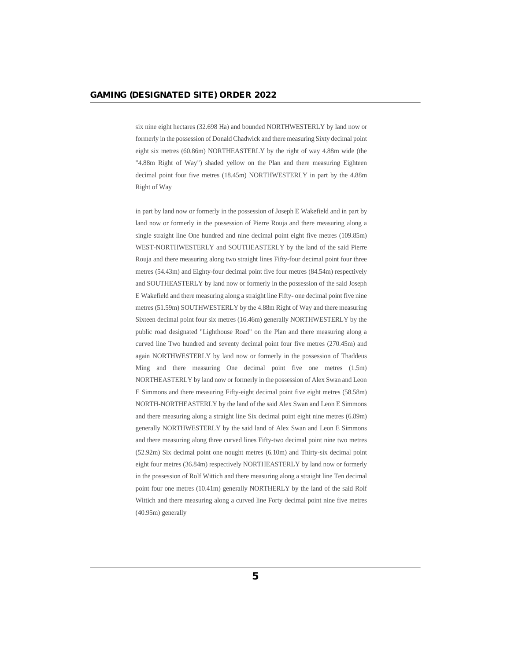six nine eight hectares (32.698 Ha) and bounded NORTHWESTERLY by land now or formerly in the possession of Donald Chadwick and there measuring Sixty decimal point eight six metres (60.86m) NORTHEASTERLY by the right of way 4.88m wide (the "4.88m Right of Way") shaded yellow on the Plan and there measuring Eighteen decimal point four five metres (18.45m) NORTHWESTERLY in part by the 4.88m Right of Way

in part by land now or formerly in the possession of Joseph E Wakefield and in part by land now or formerly in the possession of Pierre Rouja and there measuring along a single straight line One hundred and nine decimal point eight five metres (109.85m) WEST-NORTHWESTERLY and SOUTHEASTERLY by the land of the said Pierre Rouja and there measuring along two straight lines Fifty-four decimal point four three metres (54.43m) and Eighty-four decimal point five four metres (84.54m) respectively and SOUTHEASTERLY by land now or formerly in the possession of the said Joseph E Wakefield and there measuring along a straight line Fifty- one decimal point five nine metres (51.59m) SOUTHWESTERLY by the 4.88m Right of Way and there measuring Sixteen decimal point four six metres (16.46m) generally NORTHWESTERLY by the public road designated "Lighthouse Road" on the Plan and there measuring along a curved line Two hundred and seventy decimal point four five metres (270.45m) and again NORTHWESTERLY by land now or formerly in the possession of Thaddeus Ming and there measuring One decimal point five one metres (1.5m) NORTHEASTERLY by land now or formerly in the possession of Alex Swan and Leon E Simmons and there measuring Fifty-eight decimal point five eight metres (58.58m) NORTH-NORTHEASTERLY by the land of the said Alex Swan and Leon E Simmons and there measuring along a straight line Six decimal point eight nine metres (6.89m) generally NORTHWESTERLY by the said land of Alex Swan and Leon E Simmons and there measuring along three curved lines Fifty-two decimal point nine two metres (52.92m) Six decimal point one nought metres (6.10m) and Thirty-six decimal point eight four metres (36.84m) respectively NORTHEASTERLY by land now or formerly in the possession of Rolf Wittich and there measuring along a straight line Ten decimal point four one metres (10.41m) generally NORTHERLY by the land of the said Rolf Wittich and there measuring along a curved line Forty decimal point nine five metres (40.95m) generally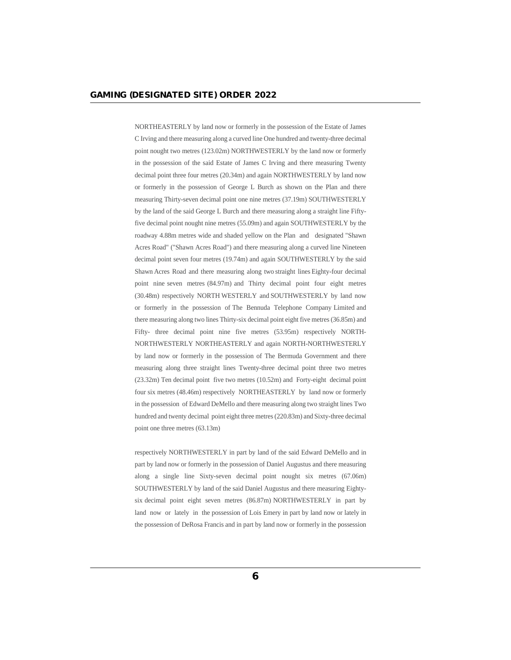NORTHEASTERLY by land now or formerly in the possession of the Estate of James C Irving and there measuring along a curved line One hundred and twenty-three decimal point nought two metres (123.02m) NORTHWESTERLY by the land now or formerly in the possession of the said Estate of James C Irving and there measuring Twenty decimal point three four metres (20.34m) and again NORTHWESTERLY by land now or formerly in the possession of George L Burch as shown on the Plan and there measuring Thirty-seven decimal point one nine metres (37.19m) SOUTHWESTERLY by the land of the said George L Burch and there measuring along a straight line Fiftyfive decimal point nought nine metres (55.09m) and again SOUTHWESTERLY by the roadway 4.88m metres wide and shaded yellow on the Plan and designated "Shawn Acres Road" ("Shawn Acres Road") and there measuring along a curved line Nineteen decimal point seven four metres (19.74m) and again SOUTHWESTERLY by the said Shawn Acres Road and there measuring along two straight lines Eighty-four decimal point nine seven metres (84.97m) and Thirty decimal point four eight metres (30.48m) respectively NORTH WESTERLY and SOUTHWESTERLY by land now or formerly in the possession of The Bennuda Telephone Company Limited and there measuring along two lines Thirty-six decimal point eight five metres (36.85m) and Fifty- three decimal point nine five metres (53.95m) respectively NORTH-NORTHWESTERLY NORTHEASTERLY and again NORTH-NORTHWESTERLY by land now or formerly in the possession of The Bermuda Government and there measuring along three straight lines Twenty-three decimal point three two metres (23.32m) Ten decimal point five two metres (10.52m) and Forty-eight decimal point four six metres (48.46m) respectively NORTHEASTERLY by land now or formerly in the possession of Edward DeMello and there measuring along two straight lines Two hundred and twenty decimal point eight three metres (220.83m) and Sixty-three decimal point one three metres (63.13m)

respectively NORTHWESTERLY in part by land of the said Edward DeMello and in part by land now or formerly in the possession of Daniel Augustus and there measuring along a single line Sixty-seven decimal point nought six metres (67.06m) SOUTHWESTERLY by land of the said Daniel Augustus and there measuring Eightysix decimal point eight seven metres (86.87m) NORTHWESTERLY in part by land now or lately in the possession of Lois Emery in part by land now or lately in the possession of DeRosa Francis and in part by land now or formerly in the possession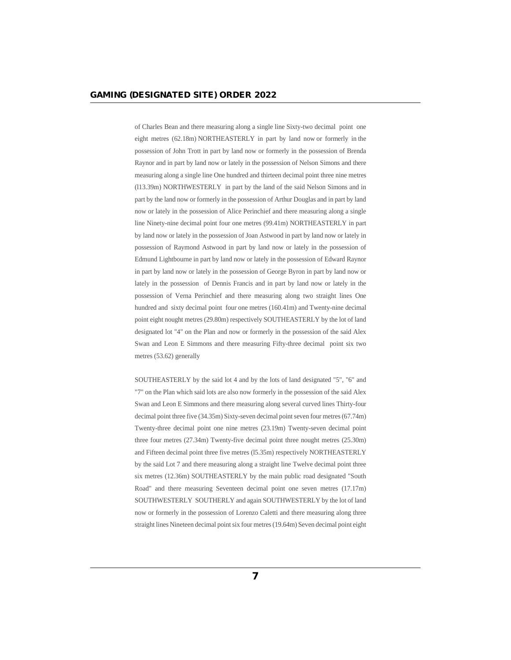of Charles Bean and there measuring along a single line Sixty-two decimal point one eight metres (62.18m) NORTHEASTERLY in part by land now or formerly in the possession of John Trott in part by land now or formerly in the possession of Brenda Raynor and in part by land now or lately in the possession of Nelson Simons and there measuring along a single line One hundred and thirteen decimal point three nine metres (l13.39m) NORTHWESTERLY in part by the land of the said Nelson Simons and in part by the land now or formerly in the possession of Arthur Douglas and in part by land now or lately in the possession of Alice Perinchief and there measuring along a single line Ninety-nine decimal point four one metres (99.41m) NORTHEASTERLY in part by land now or lately in the possession of Joan Astwood in part by land now or lately in possession of Raymond Astwood in part by land now or lately in the possession of Edmund Lightbourne in part by land now or lately in the possession of Edward Raynor in part by land now or lately in the possession of George Byron in part by land now or lately in the possession of Dennis Francis and in part by land now or lately in the possession of Verna Perinchief and there measuring along two straight lines One hundred and sixty decimal point four one metres (160.41m) and Twenty-nine decimal point eight nought metres (29.80m) respectively SOUTHEASTERLY by the lot of land designated lot "4" on the Plan and now or formerly in the possession of the said Alex Swan and Leon E Simmons and there measuring Fifty-three decimal point six two metres (53.62) generally

SOUTHEASTERLY by the said lot 4 and by the lots of land designated "5", "6" and "7" on the Plan which said lots are also now formerly in the possession of the said Alex Swan and Leon E Simmons and there measuring along several curved lines Thirty-four decimal point three five (34.35m) Sixty-seven decimal point seven four metres (67.74m) Twenty-three decimal point one nine metres (23.19m) Twenty-seven decimal point three four metres (27.34m) Twenty-five decimal point three nought metres (25.30m) and Fifteen decimal point three five metres (l5.35m) respectively NORTHEASTERLY by the said Lot 7 and there measuring along a straight line Twelve decimal point three six metres (12.36m) SOUTHEASTERLY by the main public road designated "South Road" and there measuring Seventeen decimal point one seven metres (17.17m) SOUTHWESTERLY SOUTHERLY and again SOUTHWESTERLY by the lot of land now or formerly in the possession of Lorenzo Caletti and there measuring along three straight lines Nineteen decimal point six four metres (19.64m) Seven decimal point eight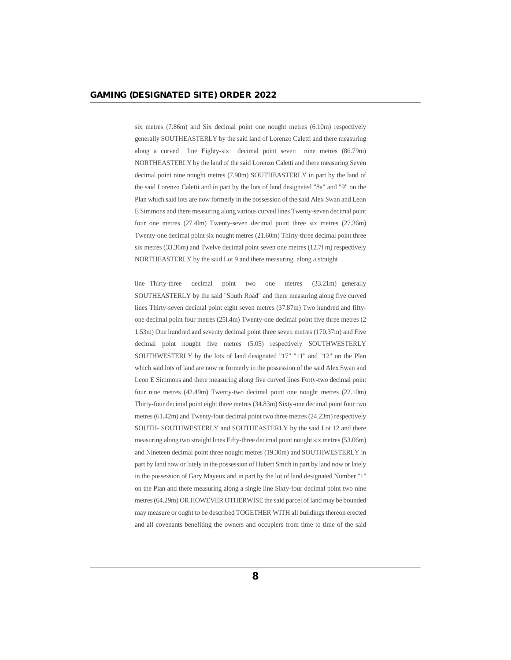six metres (7.86m) and Six decimal point one nought metres (6.10m) respectively generally SOUTHEASTERLY by the said land of Lorenzo Caletti and there measuring along a curved line Eighty-six decimal point seven nine metres (86.79m) NORTHEASTERLY by the land of the said Lorenzo Caletti and there measuring Seven decimal point nine nought metres (7.90m) SOUTHEASTERLY in part by the land of the said Lorenzo Caletti and in part by the lots of land designated "8a" and "9" on the Plan which said lots are now formerly in the possession of the said Alex Swan and Leon E Simmons and there measuring along various curved lines Twenty-seven decimal point four one metres (27.4lm) Twenty-seven decimal point three six metres (27.36m) Twenty-one decimal point six nought metres (21.60m) Thirty-three decimal point three six metres (33.36m) and Twelve decimal point seven one metres (12.7l m) respectively NORTHEASTERLY by the said Lot 9 and there measuring along a straight

line Thirty-three decimal point two one metres (33.21m) generally SOUTHEASTERLY by the said "South Road" and there measuring along five curved lines Thirty-seven decimal point eight seven metres (37.87m) Two hundred and fiftyone decimal point four metres (25l.4m) Twenty-one decimal point five three metres (2 1.53m) One hundred and seventy decimal point three seven metres (170.37m) and Five decimal point nought five metres (5.05) respectively SOUTHWESTERLY SOUTHWESTERLY by the lots of land designated "17" "11" and "12" on the Plan which said lots of land are now or formerly in the possession of the said Alex Swan and Leon E Simmons and there measuring along five curved lines Forty-two decimal point four nine metres (42.49m) Twenty-two decimal point one nought metres (22.10m) Thirty-four decimal point eight three metres (34.83m) Sixty-one decimal point four two metres (61.42m) and Twenty-four decimal point two three metres (24.23m) respectively SOUTH- SOUTHWESTERLY and SOUTHEASTERLY by the said Lot 12 and there measuring along two straight lines Fifty-three decimal point nought six metres (53.06m) and Nineteen decimal point three nought metres (19.30m) and SOUTHWESTERLY in part by land now or lately in the possession of Hubert Smith in part by land now or lately in the possession of Gary Mayeux and in part by the lot of land designated Number "1" on the Plan and there measuring along a single line Sixty-four decimal point two nine metres (64.29m) OR HOWEVER OTHERWISE the said parcel of land may be bounded may measure or ought to be described TOGETHER WITH all buildings thereon erected and all covenants benefiting the owners and occupiers from time to time of the said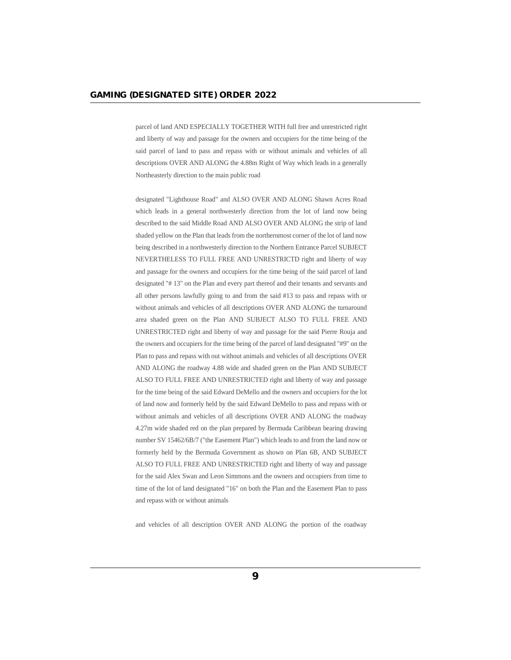parcel of land AND ESPECIALLY TOGETHER WITH full free and unrestricted right and liberty of way and passage for the owners and occupiers for the time being of the said parcel of land to pass and repass with or without animals and vehicles of all descriptions OVER AND ALONG the 4.88m Right of Way which leads in a generally Northeasterly direction to the main public road

designated "Lighthouse Road" and ALSO OVER AND ALONG Shawn Acres Road which leads in a general northwesterly direction from the lot of land now being described to the said Middle Road AND ALSO OVER AND ALONG the strip of land shaded yellow on the Plan that leads from the northernmost corner of the lot of land now being described in a northwesterly direction to the Northern Entrance Parcel SUBJECT NEVERTHELESS TO FULL FREE AND UNRESTRICTD right and liberty of way and passage for the owners and occupiers for the time being of the said parcel of land designated "# 13" on the Plan and every part thereof and their tenants and servants and all other persons lawfully going to and from the said #13 to pass and repass with or without animals and vehicles of all descriptions OVER AND ALONG the turnaround area shaded green on the Plan AND SUBJECT ALSO TO FULL FREE AND UNRESTRICTED right and liberty of way and passage for the said Pierre Rouja and the owners and occupiers for the time being of the parcel of land designated "#9" on the Plan to pass and repass with out without animals and vehicles of all descriptions OVER AND ALONG the roadway 4.88 wide and shaded green on the Plan AND SUBJECT ALSO TO FULL FREE AND UNRESTRICTED right and liberty of way and passage for the time being of the said Edward DeMello and the owners and occupiers for the lot of land now and formerly held by the said Edward DeMello to pass and repass with or without animals and vehicles of all descriptions OVER AND ALONG the roadway 4.27m wide shaded red on the plan prepared by Bermuda Caribbean bearing drawing number SV 15462/6B/7 ("the Easement Plan") which leads to and from the land now or formerly held by the Bermuda Government as shown on Plan 6B, AND SUBJECT ALSO TO FULL FREE AND UNRESTRICTED right and liberty of way and passage for the said Alex Swan and Leon Simmons and the owners and occupiers from time to time of the lot of land designated "16" on both the Plan and the Easement Plan to pass and repass with or without animals

and vehicles of all description OVER AND ALONG the portion of the roadway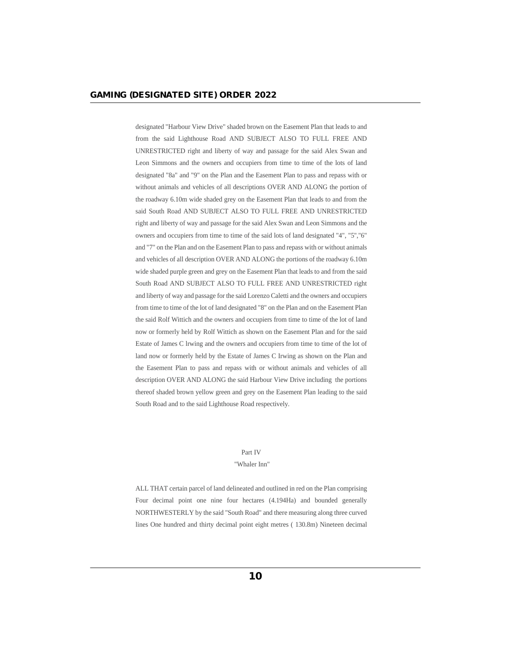designated "Harbour View Drive" shaded brown on the Easement Plan that leads to and from the said Lighthouse Road AND SUBJECT ALSO TO FULL FREE AND UNRESTRICTED right and liberty of way and passage for the said Alex Swan and Leon Simmons and the owners and occupiers from time to time of the lots of land designated "8a" and "9" on the Plan and the Easement Plan to pass and repass with or without animals and vehicles of all descriptions OVER AND ALONG the portion of the roadway 6.10m wide shaded grey on the Easement Plan that leads to and from the said South Road AND SUBJECT ALSO TO FULL FREE AND UNRESTRICTED right and liberty of way and passage for the said Alex Swan and Leon Simmons and the owners and occupiers from time to time of the said lots of land designated "4", "5'',"6" and "7" on the Plan and on the Easement Plan to pass and repass with or without animals and vehicles of all description OVER AND ALONG the portions of the roadway 6.10m wide shaded purple green and grey on the Easement Plan that leads to and from the said South Road AND SUBJECT ALSO TO FULL FREE AND UNRESTRICTED right and liberty of way and passage for the said Lorenzo Caletti and the owners and occupiers from time to time of the lot of land designated "8" on the Plan and on the Easement Plan the said Rolf Wittich and the owners and occupiers from time to time of the lot of land now or formerly held by Rolf Wittich as shown on the Easement Plan and for the said Estate of James C lrwing and the owners and occupiers from time to time of the lot of land now or formerly held by the Estate of James C Irwing as shown on the Plan and the Easement Plan to pass and repass with or without animals and vehicles of all description OVER AND ALONG the said Harbour View Drive including the portions thereof shaded brown yellow green and grey on the Easement Plan leading to the said South Road and to the said Lighthouse Road respectively.

#### Part IV

#### "Whaler Inn"

ALL THAT certain parcel of land delineated and outlined in red on the Plan comprising Four decimal point one nine four hectares (4.194Ha) and bounded generally NORTHWESTERLY by the said "South Road" and there measuring along three curved lines One hundred and thirty decimal point eight metres ( 130.8m) Nineteen decimal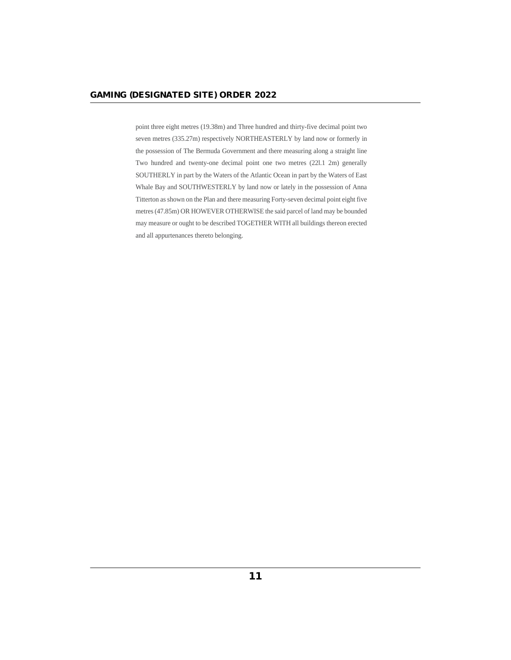point three eight metres (19.38m) and Three hundred and thirty-five decimal point two seven metres (335.27m) respectively NORTHEASTERLY by land now or formerly in the possession of The Bermuda Government and there measuring along a straight line Two hundred and twenty-one decimal point one two metres (22l.1 2m) generally SOUTHERLY in part by the Waters of the Atlantic Ocean in part by the Waters of East Whale Bay and SOUTHWESTERLY by land now or lately in the possession of Anna Titterton as shown on the Plan and there measuring Forty-seven decimal point eight five metres (47.85m) OR HOWEVER OTHERWISE the said parcel of land may be bounded may measure or ought to be described TOGETHER WITH all buildings thereon erected and all appurtenances thereto belonging.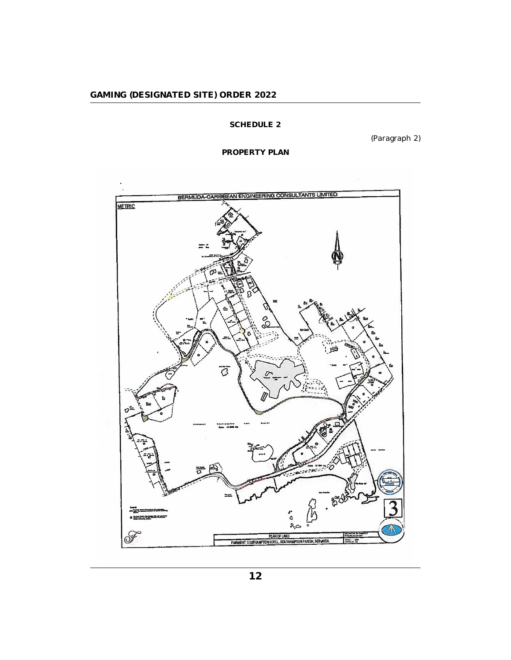# **SCHEDULE 2**

(Paragraph 2)

**PROPERTY PLAN**